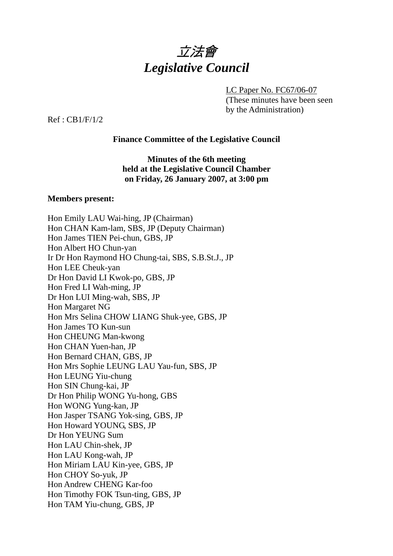

LC Paper No. FC67/06-07

(These minutes have been seen by the Administration)

Ref : CB1/F/1/2

#### **Finance Committee of the Legislative Council**

**Minutes of the 6th meeting held at the Legislative Council Chamber on Friday, 26 January 2007, at 3:00 pm** 

#### **Members present:**

Hon Emily LAU Wai-hing, JP (Chairman) Hon CHAN Kam-lam, SBS, JP (Deputy Chairman) Hon James TIEN Pei-chun, GBS, JP Hon Albert HO Chun-yan Ir Dr Hon Raymond HO Chung-tai, SBS, S.B.St.J., JP Hon LEE Cheuk-yan Dr Hon David LI Kwok-po, GBS, JP Hon Fred LI Wah-ming, JP Dr Hon LUI Ming-wah, SBS, JP Hon Margaret NG Hon Mrs Selina CHOW LIANG Shuk-yee, GBS, JP Hon James TO Kun-sun Hon CHEUNG Man-kwong Hon CHAN Yuen-han, JP Hon Bernard CHAN, GBS, JP Hon Mrs Sophie LEUNG LAU Yau-fun, SBS, JP Hon LEUNG Yiu-chung Hon SIN Chung-kai, JP Dr Hon Philip WONG Yu-hong, GBS Hon WONG Yung-kan, JP Hon Jasper TSANG Yok-sing, GBS, JP Hon Howard YOUNG, SBS, JP Dr Hon YEUNG Sum Hon LAU Chin-shek, JP Hon LAU Kong-wah, JP Hon Miriam LAU Kin-yee, GBS, JP Hon CHOY So-yuk, JP Hon Andrew CHENG Kar-foo Hon Timothy FOK Tsun-ting, GBS, JP Hon TAM Yiu-chung, GBS, JP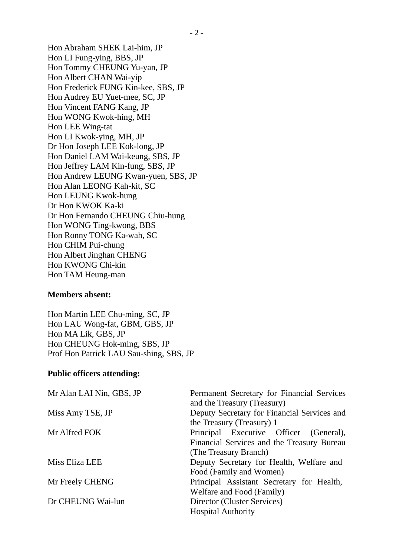Hon Abraham SHEK Lai-him, JP Hon LI Fung-ying, BBS, JP Hon Tommy CHEUNG Yu-yan, JP Hon Albert CHAN Wai-yip Hon Frederick FUNG Kin-kee, SBS, JP Hon Audrey EU Yuet-mee, SC, JP Hon Vincent FANG Kang, JP Hon WONG Kwok-hing, MH Hon LEE Wing-tat Hon LI Kwok-ying, MH, JP Dr Hon Joseph LEE Kok-long, JP Hon Daniel LAM Wai-keung, SBS, JP Hon Jeffrey LAM Kin-fung, SBS, JP Hon Andrew LEUNG Kwan-yuen, SBS, JP Hon Alan LEONG Kah-kit, SC Hon LEUNG Kwok-hung Dr Hon KWOK Ka-ki Dr Hon Fernando CHEUNG Chiu-hung Hon WONG Ting-kwong, BBS Hon Ronny TONG Ka-wah, SC Hon CHIM Pui-chung Hon Albert Jinghan CHENG Hon KWONG Chi-kin Hon TAM Heung-man

#### **Members absent:**

Hon Martin LEE Chu-ming, SC, JP Hon LAU Wong-fat, GBM, GBS, JP Hon MA Lik, GBS, JP Hon CHEUNG Hok-ming, SBS, JP Prof Hon Patrick LAU Sau-shing, SBS, JP

#### **Public officers attending:**

| Mr Alan LAI Nin, GBS, JP | Permanent Secretary for Financial Services  |
|--------------------------|---------------------------------------------|
|                          | and the Treasury (Treasury)                 |
| Miss Amy TSE, JP         | Deputy Secretary for Financial Services and |
|                          | the Treasury (Treasury) 1                   |
| Mr Alfred FOK            | Principal Executive Officer (General),      |
|                          | Financial Services and the Treasury Bureau  |
|                          | (The Treasury Branch)                       |
| Miss Eliza LEE           | Deputy Secretary for Health, Welfare and    |
|                          | Food (Family and Women)                     |
| Mr Freely CHENG          | Principal Assistant Secretary for Health,   |
|                          | Welfare and Food (Family)                   |
| Dr CHEUNG Wai-lun        | Director (Cluster Services)                 |
|                          | <b>Hospital Authority</b>                   |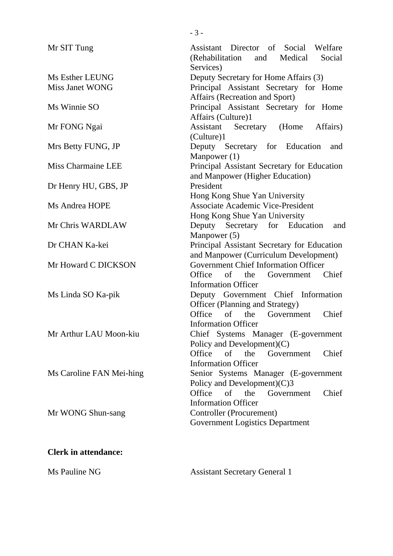| Mr SIT Tung              | Assistant Director of Social Welfare<br>(Rehabilitation<br>and Medical<br>Social |
|--------------------------|----------------------------------------------------------------------------------|
| Ms Esther LEUNG          | Services)                                                                        |
| Miss Janet WONG          | Deputy Secretary for Home Affairs (3)                                            |
|                          | Principal Assistant Secretary for Home<br>Affairs (Recreation and Sport)         |
| Ms Winnie SO             | Principal Assistant Secretary for Home                                           |
|                          | Affairs (Culture)1                                                               |
| Mr FONG Ngai             | Assistant Secretary (Home<br>Affairs)                                            |
|                          | (Culture)1                                                                       |
| Mrs Betty FUNG, JP       | Deputy Secretary for Education<br>and                                            |
|                          | Manpower $(1)$                                                                   |
| Miss Charmaine LEE       | Principal Assistant Secretary for Education                                      |
|                          | and Manpower (Higher Education)                                                  |
| Dr Henry HU, GBS, JP     | President                                                                        |
|                          | Hong Kong Shue Yan University                                                    |
| Ms Andrea HOPE           | <b>Associate Academic Vice-President</b>                                         |
|                          | Hong Kong Shue Yan University                                                    |
| Mr Chris WARDLAW         | Deputy Secretary for Education<br>and                                            |
|                          | Manpower (5)                                                                     |
| Dr CHAN Ka-kei           | Principal Assistant Secretary for Education                                      |
|                          | and Manpower (Curriculum Development)                                            |
| Mr Howard C DICKSON      | <b>Government Chief Information Officer</b>                                      |
|                          | Office<br>$\sigma$<br>the<br>Government<br>Chief                                 |
|                          | <b>Information Officer</b>                                                       |
| Ms Linda SO Ka-pik       | Deputy Government Chief Information                                              |
|                          | Officer (Planning and Strategy)                                                  |
|                          | Office<br>of<br>Chief<br>the<br>Government                                       |
|                          | <b>Information Officer</b>                                                       |
| Mr Arthur LAU Moon-kiu   | Chief Systems Manager (E-government                                              |
|                          | Policy and Development $(C)$<br>Office<br>of the Government<br>Chief             |
|                          | <b>Information Officer</b>                                                       |
| Ms Caroline FAN Mei-hing | Senior Systems Manager (E-government                                             |
|                          | Policy and Development) $(C)$ 3                                                  |
|                          | Office<br>of the<br>Chief<br>Government                                          |
|                          | <b>Information Officer</b>                                                       |
| Mr WONG Shun-sang        | Controller (Procurement)                                                         |
|                          | <b>Government Logistics Department</b>                                           |
|                          |                                                                                  |
|                          |                                                                                  |

- 3 -

# **Clerk in attendance:**

Ms Pauline NG Assistant Secretary General 1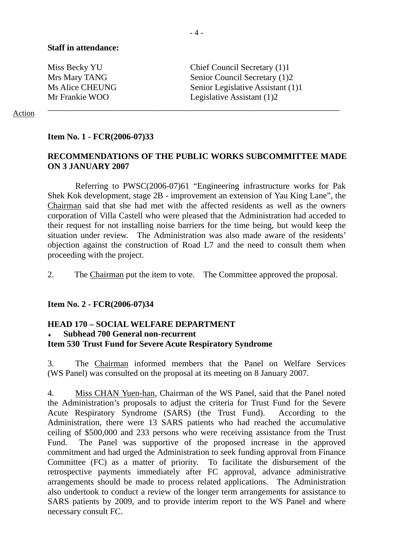Miss Becky YU Chief Council Secretary (1)1 Mrs Mary TANG Senior Council Secretary (1)2 Ms Alice CHEUNG Senior Legislative Assistant (1)1 Mr Frankie WOO Legislative Assistant (1)2

#### Action

#### **Item No. 1 - FCR(2006-07)33**

## **RECOMMENDATIONS OF THE PUBLIC WORKS SUBCOMMITTEE MADE ON 3 JANUARY 2007**

\_\_\_\_\_\_\_\_\_\_\_\_\_\_\_\_\_\_\_\_\_\_\_\_\_\_\_\_\_\_\_\_\_\_\_\_\_\_\_\_\_\_\_\_\_\_\_\_\_\_\_\_\_\_\_\_\_\_\_\_\_\_\_\_\_\_\_\_

 Referring to PWSC(2006-07)61 "Engineering infrastructure works for Pak Shek Kok development, stage 2B - improvement an extension of Yau King Lane", the Chairman said that she had met with the affected residents as well as the owners corporation of Villa Castell who were pleased that the Administration had acceded to their request for not installing noise barriers for the time being, but would keep the situation under review. The Administration was also made aware of the residents' objection against the construction of Road L7 and the need to consult them when proceeding with the project.

2. The Chairman put the item to vote. The Committee approved the proposal.

#### **Item No. 2 - FCR(2006-07)34**

### **HEAD 170 – SOCIAL WELFARE DEPARTMENT Subhead 700 General non-recurrent Item 530 Trust Fund for Severe Acute Respiratory Syndrome**

3. The Chairman informed members that the Panel on Welfare Services (WS Panel) was consulted on the proposal at its meeting on 8 January 2007.

4. Miss CHAN Yuen-han, Chairman of the WS Panel, said that the Panel noted the Administration's proposals to adjust the criteria for Trust Fund for the Severe Acute Respiratory Syndrome (SARS) (the Trust Fund). According to the Administration, there were 13 SARS patients who had reached the accumulative ceiling of \$500,000 and 233 persons who were receiving assistance from the Trust Fund. The Panel was supportive of the proposed increase in the approved commitment and had urged the Administration to seek funding approval from Finance Committee (FC) as a matter of priority. To facilitate the disbursement of the retrospective payments immediately after FC approval, advance administrative arrangements should be made to process related applications. The Administration also undertook to conduct a review of the longer term arrangements for assistance to SARS patients by 2009, and to provide interim report to the WS Panel and where necessary consult FC.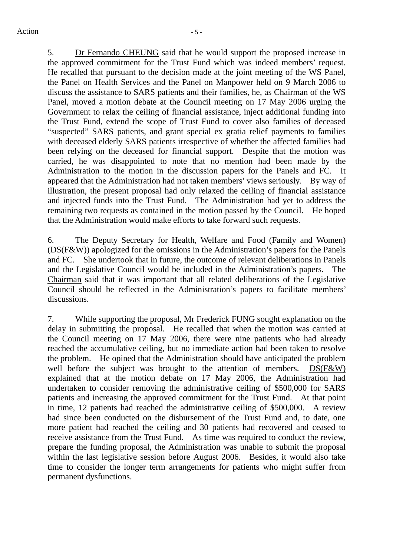5. Dr Fernando CHEUNG said that he would support the proposed increase in the approved commitment for the Trust Fund which was indeed members' request. He recalled that pursuant to the decision made at the joint meeting of the WS Panel, the Panel on Health Services and the Panel on Manpower held on 9 March 2006 to discuss the assistance to SARS patients and their families, he, as Chairman of the WS Panel, moved a motion debate at the Council meeting on 17 May 2006 urging the Government to relax the ceiling of financial assistance, inject additional funding into the Trust Fund, extend the scope of Trust Fund to cover also families of deceased "suspected" SARS patients, and grant special ex gratia relief payments to families with deceased elderly SARS patients irrespective of whether the affected families had been relying on the deceased for financial support. Despite that the motion was carried, he was disappointed to note that no mention had been made by the Administration to the motion in the discussion papers for the Panels and FC. It appeared that the Administration had not taken members' views seriously. By way of illustration, the present proposal had only relaxed the ceiling of financial assistance and injected funds into the Trust Fund. The Administration had yet to address the remaining two requests as contained in the motion passed by the Council. He hoped that the Administration would make efforts to take forward such requests.

6. The Deputy Secretary for Health, Welfare and Food (Family and Women) (DS(F&W)) apologized for the omissions in the Administration's papers for the Panels and FC. She undertook that in future, the outcome of relevant deliberations in Panels and the Legislative Council would be included in the Administration's papers. The Chairman said that it was important that all related deliberations of the Legislative Council should be reflected in the Administration's papers to facilitate members' discussions.

7. While supporting the proposal, Mr Frederick FUNG sought explanation on the delay in submitting the proposal. He recalled that when the motion was carried at the Council meeting on 17 May 2006, there were nine patients who had already reached the accumulative ceiling, but no immediate action had been taken to resolve the problem. He opined that the Administration should have anticipated the problem well before the subject was brought to the attention of members. DS(F&W) explained that at the motion debate on 17 May 2006, the Administration had undertaken to consider removing the administrative ceiling of \$500,000 for SARS patients and increasing the approved commitment for the Trust Fund. At that point in time, 12 patients had reached the administrative ceiling of \$500,000. A review had since been conducted on the disbursement of the Trust Fund and, to date, one more patient had reached the ceiling and 30 patients had recovered and ceased to receive assistance from the Trust Fund. As time was required to conduct the review, prepare the funding proposal, the Administration was unable to submit the proposal within the last legislative session before August 2006. Besides, it would also take time to consider the longer term arrangements for patients who might suffer from permanent dysfunctions.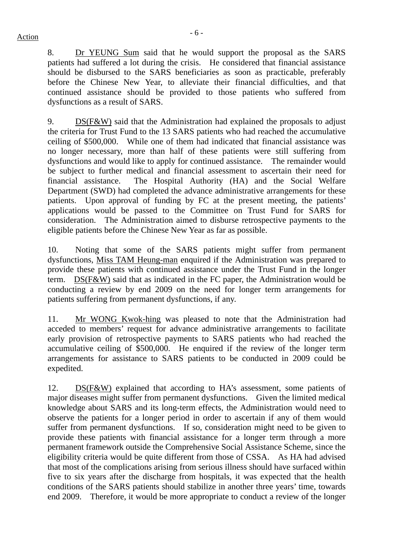8. Dr YEUNG Sum said that he would support the proposal as the SARS patients had suffered a lot during the crisis. He considered that financial assistance should be disbursed to the SARS beneficiaries as soon as practicable, preferably before the Chinese New Year, to alleviate their financial difficulties, and that continued assistance should be provided to those patients who suffered from dysfunctions as a result of SARS.

9. DS(F&W) said that the Administration had explained the proposals to adjust the criteria for Trust Fund to the 13 SARS patients who had reached the accumulative ceiling of \$500,000. While one of them had indicated that financial assistance was no longer necessary, more than half of these patients were still suffering from dysfunctions and would like to apply for continued assistance. The remainder would be subject to further medical and financial assessment to ascertain their need for financial assistance. The Hospital Authority (HA) and the Social Welfare Department (SWD) had completed the advance administrative arrangements for these patients. Upon approval of funding by FC at the present meeting, the patients' applications would be passed to the Committee on Trust Fund for SARS for consideration. The Administration aimed to disburse retrospective payments to the eligible patients before the Chinese New Year as far as possible.

10. Noting that some of the SARS patients might suffer from permanent dysfunctions, Miss TAM Heung-man enquired if the Administration was prepared to provide these patients with continued assistance under the Trust Fund in the longer term. DS(F&W) said that as indicated in the FC paper, the Administration would be conducting a review by end 2009 on the need for longer term arrangements for patients suffering from permanent dysfunctions, if any.

11. Mr WONG Kwok-hing was pleased to note that the Administration had acceded to members' request for advance administrative arrangements to facilitate early provision of retrospective payments to SARS patients who had reached the accumulative ceiling of \$500,000. He enquired if the review of the longer term arrangements for assistance to SARS patients to be conducted in 2009 could be expedited.

12. DS(F&W) explained that according to HA's assessment, some patients of major diseases might suffer from permanent dysfunctions. Given the limited medical knowledge about SARS and its long-term effects, the Administration would need to observe the patients for a longer period in order to ascertain if any of them would suffer from permanent dysfunctions. If so, consideration might need to be given to provide these patients with financial assistance for a longer term through a more permanent framework outside the Comprehensive Social Assistance Scheme, since the eligibility criteria would be quite different from those of CSSA. As HA had advised that most of the complications arising from serious illness should have surfaced within five to six years after the discharge from hospitals, it was expected that the health conditions of the SARS patients should stabilize in another three years' time, towards end 2009. Therefore, it would be more appropriate to conduct a review of the longer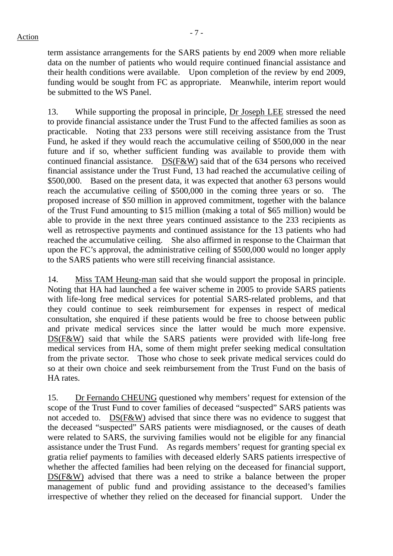term assistance arrangements for the SARS patients by end 2009 when more reliable data on the number of patients who would require continued financial assistance and their health conditions were available. Upon completion of the review by end 2009, funding would be sought from FC as appropriate. Meanwhile, interim report would be submitted to the WS Panel.

13. While supporting the proposal in principle, Dr Joseph LEE stressed the need to provide financial assistance under the Trust Fund to the affected families as soon as practicable. Noting that 233 persons were still receiving assistance from the Trust Fund, he asked if they would reach the accumulative ceiling of \$500,000 in the near future and if so, whether sufficient funding was available to provide them with continued financial assistance. DS(F&W) said that of the 634 persons who received financial assistance under the Trust Fund, 13 had reached the accumulative ceiling of \$500,000. Based on the present data, it was expected that another 63 persons would reach the accumulative ceiling of \$500,000 in the coming three years or so. proposed increase of \$50 million in approved commitment, together with the balance of the Trust Fund amounting to \$15 million (making a total of \$65 million) would be able to provide in the next three years continued assistance to the 233 recipients as well as retrospective payments and continued assistance for the 13 patients who had reached the accumulative ceiling. She also affirmed in response to the Chairman that upon the FC's approval, the administrative ceiling of \$500,000 would no longer apply to the SARS patients who were still receiving financial assistance.

14. Miss TAM Heung-man said that she would support the proposal in principle. Noting that HA had launched a fee waiver scheme in 2005 to provide SARS patients with life-long free medical services for potential SARS-related problems, and that they could continue to seek reimbursement for expenses in respect of medical consultation, she enquired if these patients would be free to choose between public and private medical services since the latter would be much more expensive. DS(F&W) said that while the SARS patients were provided with life-long free medical services from HA, some of them might prefer seeking medical consultation from the private sector. Those who chose to seek private medical services could do so at their own choice and seek reimbursement from the Trust Fund on the basis of HA rates.

15. Dr Fernando CHEUNG questioned why members' request for extension of the scope of the Trust Fund to cover families of deceased "suspected" SARS patients was not acceded to. DS(F&W) advised that since there was no evidence to suggest that the deceased "suspected" SARS patients were misdiagnosed, or the causes of death were related to SARS, the surviving families would not be eligible for any financial assistance under the Trust Fund. As regards members' request for granting special ex gratia relief payments to families with deceased elderly SARS patients irrespective of whether the affected families had been relying on the deceased for financial support, DS(F&W) advised that there was a need to strike a balance between the proper management of public fund and providing assistance to the deceased's families irrespective of whether they relied on the deceased for financial support. Under the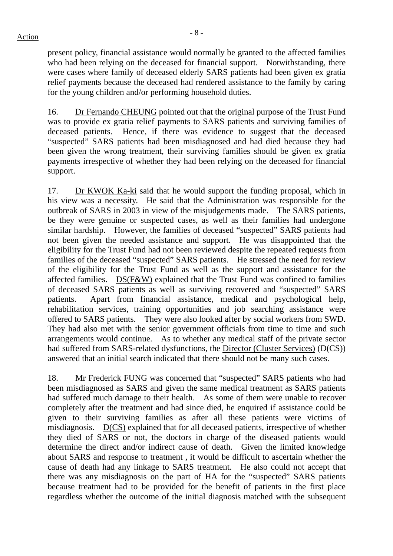$\frac{1}{8}$  - 8 -

present policy, financial assistance would normally be granted to the affected families who had been relying on the deceased for financial support. Notwithstanding, there were cases where family of deceased elderly SARS patients had been given ex gratia relief payments because the deceased had rendered assistance to the family by caring for the young children and/or performing household duties.

16. Dr Fernando CHEUNG pointed out that the original purpose of the Trust Fund was to provide ex gratia relief payments to SARS patients and surviving families of deceased patients. Hence, if there was evidence to suggest that the deceased "suspected" SARS patients had been misdiagnosed and had died because they had been given the wrong treatment, their surviving families should be given ex gratia payments irrespective of whether they had been relying on the deceased for financial support.

17. Dr KWOK Ka-ki said that he would support the funding proposal, which in his view was a necessity. He said that the Administration was responsible for the outbreak of SARS in 2003 in view of the misjudgements made. The SARS patients, be they were genuine or suspected cases, as well as their families had undergone similar hardship. However, the families of deceased "suspected" SARS patients had not been given the needed assistance and support. He was disappointed that the eligibility for the Trust Fund had not been reviewed despite the repeated requests from families of the deceased "suspected" SARS patients. He stressed the need for review of the eligibility for the Trust Fund as well as the support and assistance for the affected families. DS(F&W) explained that the Trust Fund was confined to families of deceased SARS patients as well as surviving recovered and "suspected" SARS patients. Apart from financial assistance, medical and psychological help, rehabilitation services, training opportunities and job searching assistance were offered to SARS patients. They were also looked after by social workers from SWD. They had also met with the senior government officials from time to time and such arrangements would continue. As to whether any medical staff of the private sector had suffered from SARS-related dysfunctions, the Director (Cluster Services) (D(CS)) answered that an initial search indicated that there should not be many such cases.

18. Mr Frederick FUNG was concerned that "suspected" SARS patients who had been misdiagnosed as SARS and given the same medical treatment as SARS patients had suffered much damage to their health. As some of them were unable to recover completely after the treatment and had since died, he enquired if assistance could be given to their surviving families as after all these patients were victims of misdiagnosis. D(CS) explained that for all deceased patients, irrespective of whether they died of SARS or not, the doctors in charge of the diseased patients would determine the direct and/or indirect cause of death. Given the limited knowledge about SARS and response to treatment , it would be difficult to ascertain whether the cause of death had any linkage to SARS treatment. He also could not accept that there was any misdiagnosis on the part of HA for the "suspected" SARS patients because treatment had to be provided for the benefit of patients in the first place regardless whether the outcome of the initial diagnosis matched with the subsequent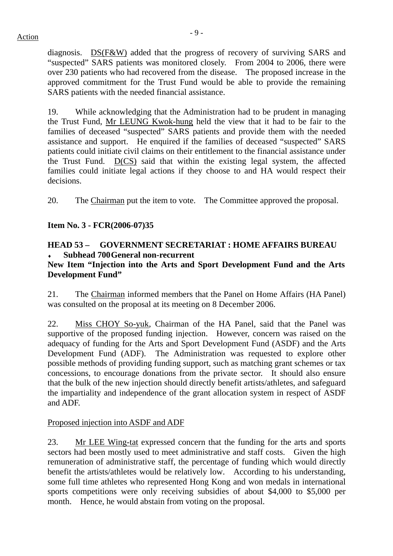$\frac{1}{2}$  - 9 -  $\frac{1}{2}$ 

diagnosis. DS(F&W) added that the progress of recovery of surviving SARS and "suspected" SARS patients was monitored closely. From 2004 to 2006, there were over 230 patients who had recovered from the disease. The proposed increase in the approved commitment for the Trust Fund would be able to provide the remaining SARS patients with the needed financial assistance.

19. While acknowledging that the Administration had to be prudent in managing the Trust Fund, Mr LEUNG Kwok-hung held the view that it had to be fair to the families of deceased "suspected" SARS patients and provide them with the needed assistance and support. He enquired if the families of deceased "suspected" SARS patients could initiate civil claims on their entitlement to the financial assistance under the Trust Fund. D(CS) said that within the existing legal system, the affected families could initiate legal actions if they choose to and HA would respect their decisions.

20. The Chairman put the item to vote. The Committee approved the proposal.

## **Item No. 3 - FCR(2006-07)35**

## **HEAD 53 – GOVERNMENT SECRETARIAT : HOME AFFAIRS BUREAU Subhead 700 General non-recurrent**

## **New Item "Injection into the Arts and Sport Development Fund and the Arts Development Fund"**

21. The Chairman informed members that the Panel on Home Affairs (HA Panel) was consulted on the proposal at its meeting on 8 December 2006.

22. Miss CHOY So-yuk, Chairman of the HA Panel, said that the Panel was supportive of the proposed funding injection. However, concern was raised on the adequacy of funding for the Arts and Sport Development Fund (ASDF) and the Arts Development Fund (ADF). The Administration was requested to explore other possible methods of providing funding support, such as matching grant schemes or tax concessions, to encourage donations from the private sector. It should also ensure that the bulk of the new injection should directly benefit artists/athletes, and safeguard the impartiality and independence of the grant allocation system in respect of ASDF and ADF.

## Proposed injection into ASDF and ADF

23. Mr LEE Wing-tat expressed concern that the funding for the arts and sports sectors had been mostly used to meet administrative and staff costs. Given the high remuneration of administrative staff, the percentage of funding which would directly benefit the artists/athletes would be relatively low. According to his understanding, some full time athletes who represented Hong Kong and won medals in international sports competitions were only receiving subsidies of about \$4,000 to \$5,000 per month. Hence, he would abstain from voting on the proposal.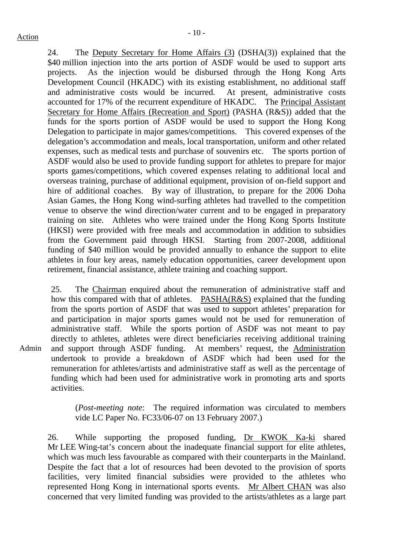24. The Deputy Secretary for Home Affairs (3) (DSHA(3)) explained that the \$40 million injection into the arts portion of ASDF would be used to support arts projects. As the injection would be disbursed through the Hong Kong Arts Development Council (HKADC) with its existing establishment, no additional staff and administrative costs would be incurred. At present, administrative costs accounted for 17% of the recurrent expenditure of HKADC. The Principal Assistant Secretary for Home Affairs (Recreation and Sport) (PASHA (R&S)) added that the funds for the sports portion of ASDF would be used to support the Hong Kong Delegation to participate in major games/competitions. This covered expenses of the delegation's accommodation and meals, local transportation, uniform and other related expenses, such as medical tests and purchase of souvenirs etc. The sports portion of ASDF would also be used to provide funding support for athletes to prepare for major sports games/competitions, which covered expenses relating to additional local and overseas training, purchase of additional equipment, provision of on-field support and hire of additional coaches. By way of illustration, to prepare for the 2006 Doha Asian Games, the Hong Kong wind-surfing athletes had travelled to the competition venue to observe the wind direction/water current and to be engaged in preparatory training on site. Athletes who were trained under the Hong Kong Sports Institute (HKSI) were provided with free meals and accommodation in addition to subsidies from the Government paid through HKSI. Starting from 2007-2008, additional funding of \$40 million would be provided annually to enhance the support to elite athletes in four key areas, namely education opportunities, career development upon retirement, financial assistance, athlete training and coaching support.

25. The Chairman enquired about the remuneration of administrative staff and how this compared with that of athletes. PASHA(R&S) explained that the funding from the sports portion of ASDF that was used to support athletes' preparation for and participation in major sports games would not be used for remuneration of administrative staff. While the sports portion of ASDF was not meant to pay directly to athletes, athletes were direct beneficiaries receiving additional training and support through ASDF funding. At members' request, the Administration undertook to provide a breakdown of ASDF which had been used for the remuneration for athletes/artists and administrative staff as well as the percentage of funding which had been used for administrative work in promoting arts and sports activities.

(*Post-meeting note*: The required information was circulated to members vide LC Paper No. FC33/06-07 on 13 February 2007.)

26. While supporting the proposed funding, Dr KWOK Ka-ki shared Mr LEE Wing-tat's concern about the inadequate financial support for elite athletes, which was much less favourable as compared with their counterparts in the Mainland. Despite the fact that a lot of resources had been devoted to the provision of sports facilities, very limited financial subsidies were provided to the athletes who represented Hong Kong in international sports events. Mr Albert CHAN was also concerned that very limited funding was provided to the artists/athletes as a large part

Admin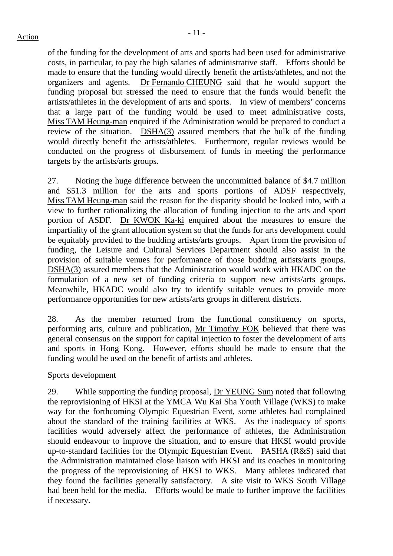of the funding for the development of arts and sports had been used for administrative costs, in particular, to pay the high salaries of administrative staff. Efforts should be made to ensure that the funding would directly benefit the artists/athletes, and not the organizers and agents. Dr Fernando CHEUNG said that he would support the funding proposal but stressed the need to ensure that the funds would benefit the artists/athletes in the development of arts and sports. In view of members' concerns that a large part of the funding would be used to meet administrative costs, Miss TAM Heung-man enquired if the Administration would be prepared to conduct a review of the situation. DSHA(3) assured members that the bulk of the funding would directly benefit the artists/athletes. Furthermore, regular reviews would be conducted on the progress of disbursement of funds in meeting the performance targets by the artists/arts groups.

27. Noting the huge difference between the uncommitted balance of \$4.7 million and \$51.3 million for the arts and sports portions of ADSF respectively, Miss TAM Heung-man said the reason for the disparity should be looked into, with a view to further rationalizing the allocation of funding injection to the arts and sport portion of ASDF. Dr KWOK Ka-ki enquired about the measures to ensure the impartiality of the grant allocation system so that the funds for arts development could be equitably provided to the budding artists/arts groups. Apart from the provision of funding, the Leisure and Cultural Services Department should also assist in the provision of suitable venues for performance of those budding artists/arts groups. DSHA(3) assured members that the Administration would work with HKADC on the formulation of a new set of funding criteria to support new artists/arts groups. Meanwhile, HKADC would also try to identify suitable venues to provide more performance opportunities for new artists/arts groups in different districts.

28. As the member returned from the functional constituency on sports, performing arts, culture and publication, Mr Timothy FOK believed that there was general consensus on the support for capital injection to foster the development of arts and sports in Hong Kong. However, efforts should be made to ensure that the funding would be used on the benefit of artists and athletes.

### Sports development

29. While supporting the funding proposal, Dr YEUNG Sum noted that following the reprovisioning of HKSI at the YMCA Wu Kai Sha Youth Village (WKS) to make way for the forthcoming Olympic Equestrian Event, some athletes had complained about the standard of the training facilities at WKS. As the inadequacy of sports facilities would adversely affect the performance of athletes, the Administration should endeavour to improve the situation, and to ensure that HKSI would provide up-to-standard facilities for the Olympic Equestrian Event. PASHA (R&S) said that the Administration maintained close liaison with HKSI and its coaches in monitoring the progress of the reprovisioning of HKSI to WKS. Many athletes indicated that they found the facilities generally satisfactory. A site visit to WKS South Village had been held for the media. Efforts would be made to further improve the facilities if necessary.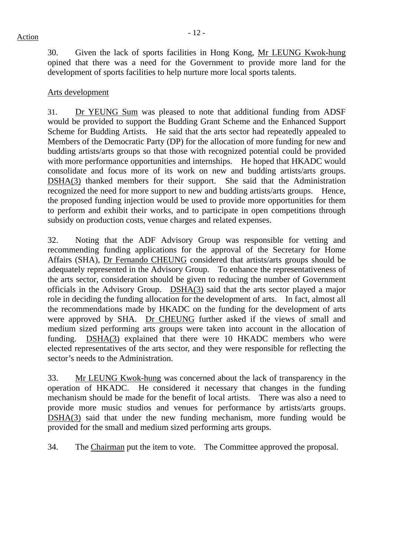30. Given the lack of sports facilities in Hong Kong, Mr LEUNG Kwok-hung opined that there was a need for the Government to provide more land for the development of sports facilities to help nurture more local sports talents.

### Arts development

31. Dr YEUNG Sum was pleased to note that additional funding from ADSF would be provided to support the Budding Grant Scheme and the Enhanced Support Scheme for Budding Artists. He said that the arts sector had repeatedly appealed to Members of the Democratic Party (DP) for the allocation of more funding for new and budding artists/arts groups so that those with recognized potential could be provided with more performance opportunities and internships. He hoped that HKADC would consolidate and focus more of its work on new and budding artists/arts groups. DSHA(3) thanked members for their support. She said that the Administration recognized the need for more support to new and budding artists/arts groups. Hence, the proposed funding injection would be used to provide more opportunities for them to perform and exhibit their works, and to participate in open competitions through subsidy on production costs, venue charges and related expenses.

32. Noting that the ADF Advisory Group was responsible for vetting and recommending funding applications for the approval of the Secretary for Home Affairs (SHA), Dr Fernando CHEUNG considered that artists/arts groups should be adequately represented in the Advisory Group. To enhance the representativeness of the arts sector, consideration should be given to reducing the number of Government officials in the Advisory Group. DSHA(3) said that the arts sector played a major role in deciding the funding allocation for the development of arts. In fact, almost all the recommendations made by HKADC on the funding for the development of arts were approved by SHA. Dr CHEUNG further asked if the views of small and medium sized performing arts groups were taken into account in the allocation of funding. **DSHA(3)** explained that there were 10 HKADC members who were elected representatives of the arts sector, and they were responsible for reflecting the sector's needs to the Administration.

33. Mr LEUNG Kwok-hung was concerned about the lack of transparency in the operation of HKADC. He considered it necessary that changes in the funding mechanism should be made for the benefit of local artists. There was also a need to provide more music studios and venues for performance by artists/arts groups. DSHA(3) said that under the new funding mechanism, more funding would be provided for the small and medium sized performing arts groups.

34. The Chairman put the item to vote. The Committee approved the proposal.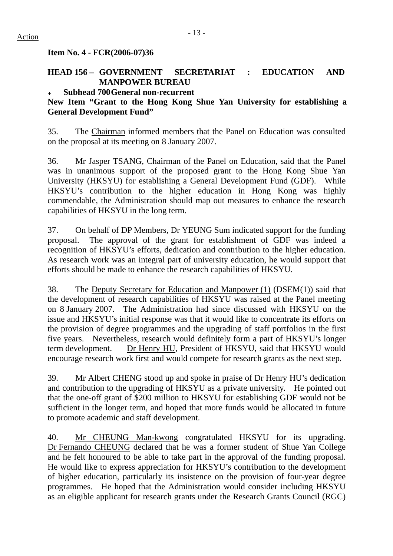**Item No. 4 - FCR(2006-07)36** 

## **HEAD 156 – GOVERNMENT SECRETARIAT : EDUCATION AND MANPOWER BUREAU**

### **Subhead 700 General non-recurrent**

## **New Item "Grant to the Hong Kong Shue Yan University for establishing a General Development Fund"**

35. The Chairman informed members that the Panel on Education was consulted on the proposal at its meeting on 8 January 2007.

36. Mr Jasper TSANG, Chairman of the Panel on Education, said that the Panel was in unanimous support of the proposed grant to the Hong Kong Shue Yan University (HKSYU) for establishing a General Development Fund (GDF). While HKSYU's contribution to the higher education in Hong Kong was highly commendable, the Administration should map out measures to enhance the research capabilities of HKSYU in the long term.

37. On behalf of DP Members, Dr YEUNG Sum indicated support for the funding proposal. The approval of the grant for establishment of GDF was indeed a recognition of HKSYU's efforts, dedication and contribution to the higher education. As research work was an integral part of university education, he would support that efforts should be made to enhance the research capabilities of HKSYU.

38. The Deputy Secretary for Education and Manpower (1) (DSEM(1)) said that the development of research capabilities of HKSYU was raised at the Panel meeting on 8 January 2007. The Administration had since discussed with HKSYU on the issue and HKSYU's initial response was that it would like to concentrate its efforts on the provision of degree programmes and the upgrading of staff portfolios in the first five years. Nevertheless, research would definitely form a part of HKSYU's longer term development. Dr Henry HU, President of HKSYU, said that HKSYU would encourage research work first and would compete for research grants as the next step.

39. Mr Albert CHENG stood up and spoke in praise of Dr Henry HU's dedication and contribution to the upgrading of HKSYU as a private university. He pointed out that the one-off grant of \$200 million to HKSYU for establishing GDF would not be sufficient in the longer term, and hoped that more funds would be allocated in future to promote academic and staff development.

40. Mr CHEUNG Man-kwong congratulated HKSYU for its upgrading. Dr Fernando CHEUNG declared that he was a former student of Shue Yan College and he felt honoured to be able to take part in the approval of the funding proposal. He would like to express appreciation for HKSYU's contribution to the development of higher education, particularly its insistence on the provision of four-year degree programmes. He hoped that the Administration would consider including HKSYU as an eligible applicant for research grants under the Research Grants Council (RGC)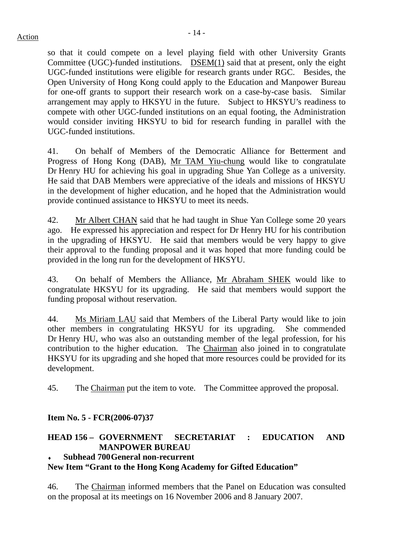so that it could compete on a level playing field with other University Grants Committee (UGC)-funded institutions. DSEM(1) said that at present, only the eight UGC-funded institutions were eligible for research grants under RGC. Besides, the Open University of Hong Kong could apply to the Education and Manpower Bureau for one-off grants to support their research work on a case-by-case basis. Similar arrangement may apply to HKSYU in the future. Subject to HKSYU's readiness to compete with other UGC-funded institutions on an equal footing, the Administration would consider inviting HKSYU to bid for research funding in parallel with the UGC-funded institutions.

41. On behalf of Members of the Democratic Alliance for Betterment and Progress of Hong Kong (DAB), Mr TAM Yiu-chung would like to congratulate Dr Henry HU for achieving his goal in upgrading Shue Yan College as a university. He said that DAB Members were appreciative of the ideals and missions of HKSYU in the development of higher education, and he hoped that the Administration would provide continued assistance to HKSYU to meet its needs.

42. Mr Albert CHAN said that he had taught in Shue Yan College some 20 years ago. He expressed his appreciation and respect for Dr Henry HU for his contribution in the upgrading of HKSYU. He said that members would be very happy to give their approval to the funding proposal and it was hoped that more funding could be provided in the long run for the development of HKSYU.

43. On behalf of Members the Alliance, Mr Abraham SHEK would like to congratulate HKSYU for its upgrading. He said that members would support the funding proposal without reservation.

44. Ms Miriam LAU said that Members of the Liberal Party would like to join other members in congratulating HKSYU for its upgrading. She commended Dr Henry HU, who was also an outstanding member of the legal profession, for his contribution to the higher education. The Chairman also joined in to congratulate HKSYU for its upgrading and she hoped that more resources could be provided for its development.

45. The Chairman put the item to vote. The Committee approved the proposal.

## **Item No. 5 - FCR(2006-07)37**

## **HEAD 156 – GOVERNMENT SECRETARIAT : EDUCATION AND MANPOWER BUREAU**

### **Subhead 700 General non-recurrent**

## **New Item "Grant to the Hong Kong Academy for Gifted Education"**

46. The Chairman informed members that the Panel on Education was consulted on the proposal at its meetings on 16 November 2006 and 8 January 2007.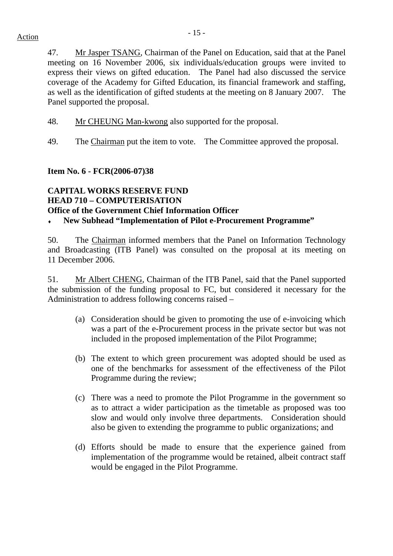47. Mr Jasper TSANG, Chairman of the Panel on Education, said that at the Panel meeting on 16 November 2006, six individuals/education groups were invited to express their views on gifted education. The Panel had also discussed the service coverage of the Academy for Gifted Education, its financial framework and staffing, as well as the identification of gifted students at the meeting on 8 January 2007. The Panel supported the proposal.

48. Mr CHEUNG Man-kwong also supported for the proposal.

49. The Chairman put the item to vote. The Committee approved the proposal.

### **Item No. 6 - FCR(2006-07)38**

# **CAPITAL WORKS RESERVE FUND HEAD 710 – COMPUTERISATION Office of the Government Chief Information Officer**

New Subhead "Implementation of Pilot e-Procurement Programme"

50. The Chairman informed members that the Panel on Information Technology and Broadcasting (ITB Panel) was consulted on the proposal at its meeting on 11 December 2006.

51. Mr Albert CHENG, Chairman of the ITB Panel, said that the Panel supported the submission of the funding proposal to FC, but considered it necessary for the Administration to address following concerns raised –

- (a) Consideration should be given to promoting the use of e-invoicing which was a part of the e-Procurement process in the private sector but was not included in the proposed implementation of the Pilot Programme;
- (b) The extent to which green procurement was adopted should be used as one of the benchmarks for assessment of the effectiveness of the Pilot Programme during the review;
- (c) There was a need to promote the Pilot Programme in the government so as to attract a wider participation as the timetable as proposed was too slow and would only involve three departments. Consideration should also be given to extending the programme to public organizations; and
- (d) Efforts should be made to ensure that the experience gained from implementation of the programme would be retained, albeit contract staff would be engaged in the Pilot Programme.